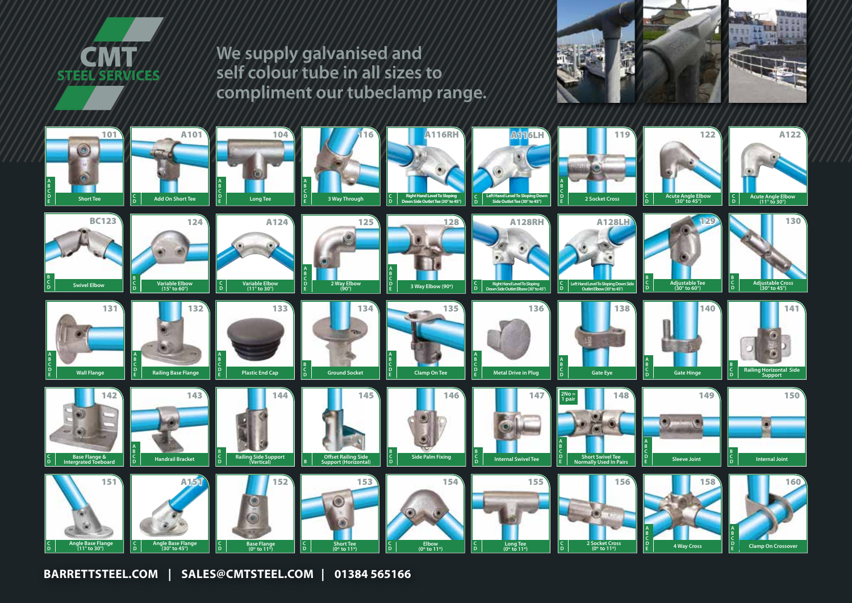

**We supply galvanised and self colour tube in all sizes to compliment our tubeclamp range.**





**BARRETTSTEEL.COM | SALES@CMTSTEEL.COM | 01384 565166**